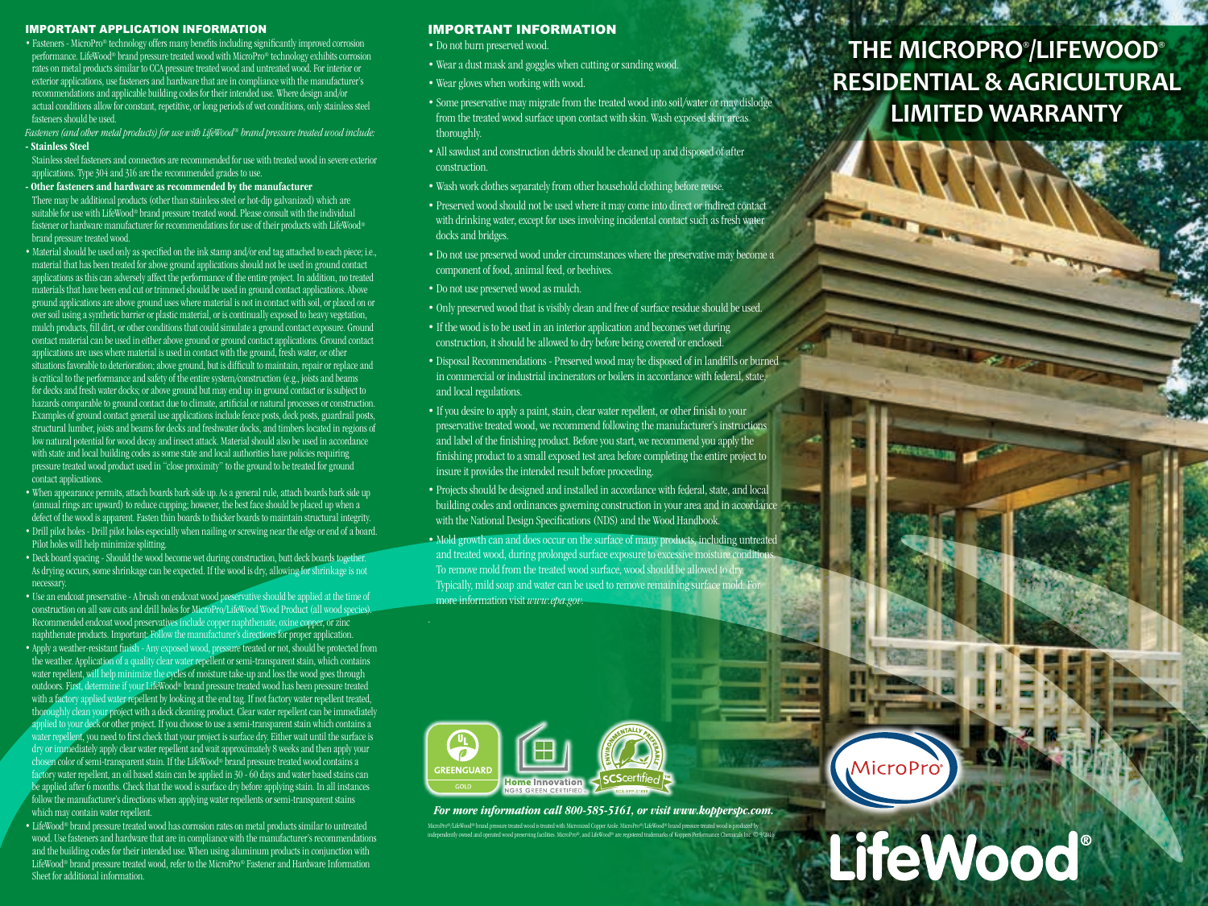#### IMPORTANT APPLICATION INFORMATION

• Fasteners - MicroPro® technology offers many benefits including significantly improved corrosion performance. LifeWood® brand pressure treated wood with MicroPro® technology exhibits corrosion rates on metal products similar to CCA pressure treated wood and untreated wood. For interior or exterior applications, use fasteners and hardware that are in compliance with the manufacturer's recommendations and applicable building codes for their intended use. Where design and/or actual conditions allow for constant, repetitive, or long periods of wet conditions, only stainless steel fasteners should be used.

*Fasteners (and other metal products) for use with LifeWood ® brand pressure treated wood include:* - Stainless Steel

Stainless steel fasteners and connectors are recommended for use with treated wood in severe exterior applications. Type 304 and 316 are the recommended grades to use.

### - Other fasteners and hardware as recommended by the manufacturer

There may be additional products (other than stainless steel or hot-dip galvanized) which are suitable for use with LifeWood® brand pressure treated wood. Please consult with the individual fastener or hardware manufacturer for recommendations for use of their products with LifeWood® brand pressure treated wood.

- Material should be used only as specified on the ink stamp and/or end tag attached to each piece; i.e., material that has been treated for above ground applications should not be used in ground contact applications as this can adversely affect the performance of the entire project. In addition, no treated materials that have been end cut or trimmed should be used in ground contact applications. Above ground applications are above ground uses where material is not in contact with soil, or placed on or over soil using a synthetic barrier or plastic material, or is continually exposed to heavy vegetation, mulch products, fill dirt, or other conditions that could simulate a ground contact exposure. Ground contact material can be used in either above ground or ground contact applications. Ground contact applications are uses where material is used in contact with the ground, fresh water, or other situations favorable to deterioration; above ground, but is difficult to maintain, repair or replace and is critical to the performance and safety of the entire system/construction (e.g., joists and beams for decks and fresh water docks; or above ground but may end up in ground contact or is subject to hazards comparable to ground contact due to climate, artificial or natural processes or construction. Examples of ground contact general use applications include fence posts, deck posts, guardrail posts, structural lumber, joists and beams for decks and freshwater docks, and timbers located in regions of low natural potential for wood decay and insect attack. Material should also be used in accordance with state and local building codes as some state and local authorities have policies requiring pressure treated wood product used in "close proximity" to the ground to be treated for ground contact applications.
- When appearance permits, attach boards bark side up. As a general rule, attach boards bark side up  $\alpha$  (annual rings arc upward) to reduce cupping; however, the best face should be placed up when a defect of the wood is apparent. Fasten thin boards to thicker boards to maintain structural integrity. • Drill pilot holes - Drill pilot holes especially when nailing or screwing near the edge or end of a board. Pilot holes will help minimize splitting.
- Deck board spacing Should the wood become wet during construction, butt deck boards together. As drying occurs, some shrinkage can be expected. If the wood is dry, allowing for shrinkage is not necessary.
- Use an endcoat preservative A brush on endcoat wood preservative should be applied at the time of construction on all saw cuts and drill holes for MicroPro/LifeWood Wood Product (all wood species). Recommended endcoat wood preservatives include copper naphthenate, oxine copper, or zinc naphthenate products. Important: Follow the manufacturer's directions for proper application.
- Apply a weather-resistant finish Any exposed wood, pressure treated or not, should be protected from the weather. Application of a quality clear water repellent or semi-transparent stain, which contains water repellent, will help minimize the cycles of moisture take-up and loss the wood goes through outdoors. First, determine if your LifeWood® brand pressure treated wood has been pressure treated with a factory applied water repellent by looking at the end tag. If not factory water repellent treated, thoroughly clean your project with a deck cleaning product. Clear water repellent can be immediately applied to your deck or other project. If you choose to use a semi-transparent stain which contains a water repellent, you need to first check that your project is surface dry. Either wait until the surface is dry or immediately apply clear water repellent and wait approximately 8 weeks and then apply your chosen color of semi-transparent stain. If the LifeWood® brand pressure treated wood contains a factory water repellent, an oil based stain can be applied in 30 - 60 days and water based stains can be applied after 6 months. Check that the wood is surface dry before applying stain. In all instances follow the manufacturer's directions when applying water repellents or semi-transparent stains which may contain water repellent.

• LifeWood® brand pressure treated wood has corrosion rates on metal products similar to untreated wood. Use fasteners and hardware that are in compliance with the manufacturer's recommendations and the building codes for their intended use. When using aluminum products in conjunction with LifeWood® brand pressure treated wood, refer to the MicroPro® Fastener and Hardware Information Sheet for additional information.

## IMPORTANT INFORMATION

- Do not burn preserved wood.
- Wear a dust mask and goggles when cutting or sanding wood.
- Wear gloves when working with wood.
- Some preservative may migrate from the treated wood into soil/water or may dislodge from the treated wood surface upon contact with skin. Wash exposed skin areas thoroughly.
- All sawdust and construction debris should be cleaned up and disposed of after construction.
- Wash work clothes separately from other household clothing before reuse.
- Preserved wood should not be used where it may come into direct or indirect contact with drinking water, except for uses involving incidental contact such as fresh water docks and bridges.
- Do not use preserved wood under circumstances where the preservative may become a component of food, animal feed, or beehives.
- Do not use preserved wood as mulch.
- Only preserved wood that is visibly clean and free of surface residue should be used.
- If the wood is to be used in an interior application and becomes wet during construction, it should be allowed to dry before being covered or enclosed.
- Disposal Recommendations Preserved wood may be disposed of in landfills or burned in commercial or industrial incinerators or boilers in accordance with federal, state, and local regulations.
- If you desire to apply a paint, stain, clear water repellent, or other finish to your preservative treated wood, we recommend following the manufacturer's instructions and label of the finishing product. Before you start, we recommend you apply the finishing product to a small exposed test area before completing the entire project to insure it provides the intended result before proceeding.
- Projects should be designed and installed in accordance with federal, state, and local building codes and ordinances governing construction in your area and in accordance with the National Design Specifications (NDS) and the Wood Handbook.
- Mold growth can and does occur on the surface of many products, including untreated and treated wood, during prolonged surface exposure to excessive moisture conditions. To remove mold from the treated wood surface, wood should be allowed to dry. Typically, mild soap and water can be used to remove remaining surface mold. For more information visit *www.epa.gov.*



*For more information call 800-585-5161, or visit www.kopperspc.com.*

# MicroPro®/LifeWood® brand pressure treated wood is treated with Micronized Copper Azole. MicroPro®/LifeWood® brand pressure treated wood is produc LifeWood® independently owned and operated wood preserving facilities. MicroPro®, and LifeWood® are registered trademarks of Koppers Performance Chemicals Inc. © 9/2016

**MicroPro** 

# **THE MICROPRO® /LIFEWOOD® RESIDENTIAL & AGRICULTURAL LIMITED WARRANTY**